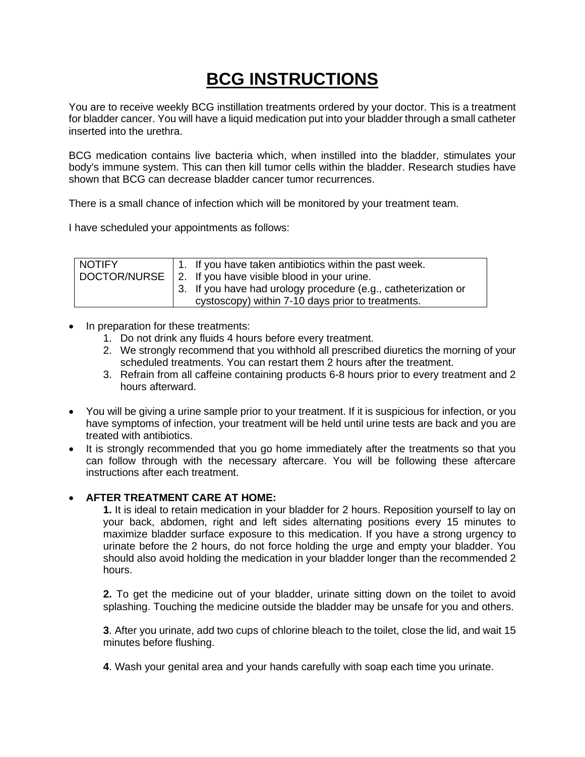## **BCG INSTRUCTIONS**

You are to receive weekly BCG instillation treatments ordered by your doctor. This is a treatment for bladder cancer. You will have a liquid medication put into your bladder through a small catheter inserted into the urethra.

BCG medication contains live bacteria which, when instilled into the bladder, stimulates your body's immune system. This can then kill tumor cells within the bladder. Research studies have shown that BCG can decrease bladder cancer tumor recurrences.

There is a small chance of infection which will be monitored by your treatment team.

I have scheduled your appointments as follows:

| <b>NOTIFY</b> | 1. If you have taken antibiotics within the past week.         |
|---------------|----------------------------------------------------------------|
|               | DOCTOR/NURSE   2. If you have visible blood in your urine.     |
|               | 3. If you have had urology procedure (e.g., catheterization or |
|               | cystoscopy) within 7-10 days prior to treatments.              |

- In preparation for these treatments:
	- 1. Do not drink any fluids 4 hours before every treatment.
	- 2. We strongly recommend that you withhold all prescribed diuretics the morning of your scheduled treatments. You can restart them 2 hours after the treatment.
	- 3. Refrain from all caffeine containing products 6-8 hours prior to every treatment and 2 hours afterward.
- You will be giving a urine sample prior to your treatment. If it is suspicious for infection, or you have symptoms of infection, your treatment will be held until urine tests are back and you are treated with antibiotics.
- It is strongly recommended that you go home immediately after the treatments so that you can follow through with the necessary aftercare. You will be following these aftercare instructions after each treatment.

## • **AFTER TREATMENT CARE AT HOME:**

**1.** It is ideal to retain medication in your bladder for 2 hours. Reposition yourself to lay on your back, abdomen, right and left sides alternating positions every 15 minutes to maximize bladder surface exposure to this medication. If you have a strong urgency to urinate before the 2 hours, do not force holding the urge and empty your bladder. You should also avoid holding the medication in your bladder longer than the recommended 2 hours.

**2.** To get the medicine out of your bladder, urinate sitting down on the toilet to avoid splashing. Touching the medicine outside the bladder may be unsafe for you and others.

**3**. After you urinate, add two cups of chlorine bleach to the toilet, close the lid, and wait 15 minutes before flushing.

**4**. Wash your genital area and your hands carefully with soap each time you urinate.